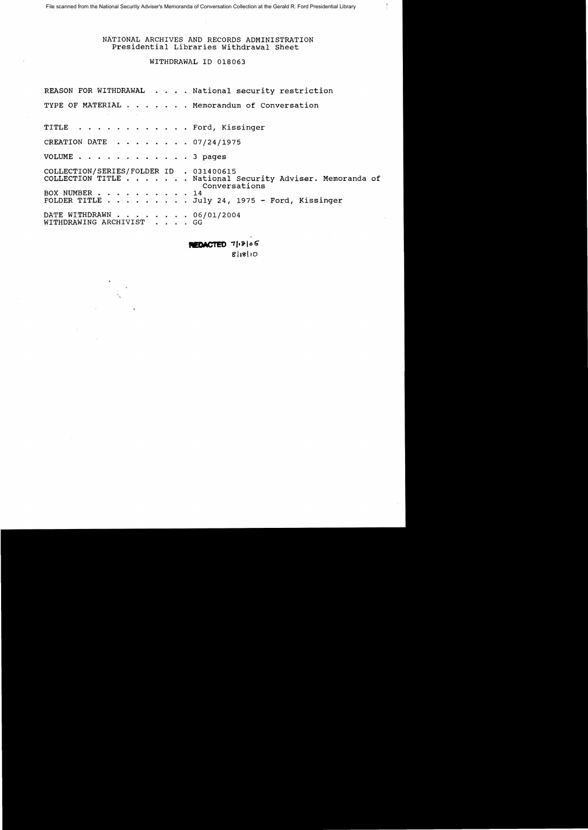### NATIONAL ARCHIVES AND RECORDS ADMINISTRATION Presidential Libraries Withdrawal Sheet

### WITHDRAWAL ID 018063

REASON FOR WITHDRAWAL . . . . National security restriction TYPE OF MATERIAL . . . . . . Memorandum of Conversation TITLE . . . . . . . . . . . . Ford, Kissinger CREATION DATE  $\cdot \cdot \cdot \cdot \cdot \cdot \cdot 07/24/1975$ VOLUME  $\cdots$   $\cdots$   $\cdots$   $\cdots$   $\cdots$  3 pages COLLECTION/SERIES/FOLDER ID . 031400615 COLLECTION TITLE ..•.... National Security Adviser. Memoranda of Conversations<br>  $\cdots$   $\cdots$   $\cdots$  14 BOX NUMBER . . . . FOLDER TITLE . . . July 24, 1975 - Ford, Kissinger DATE WITHDRAWN . . . . . . . 06/01/2004 WITHDRAWING ARCHIVIST . . . . GG

> PLEDACTED 71.8105  $8|18|10$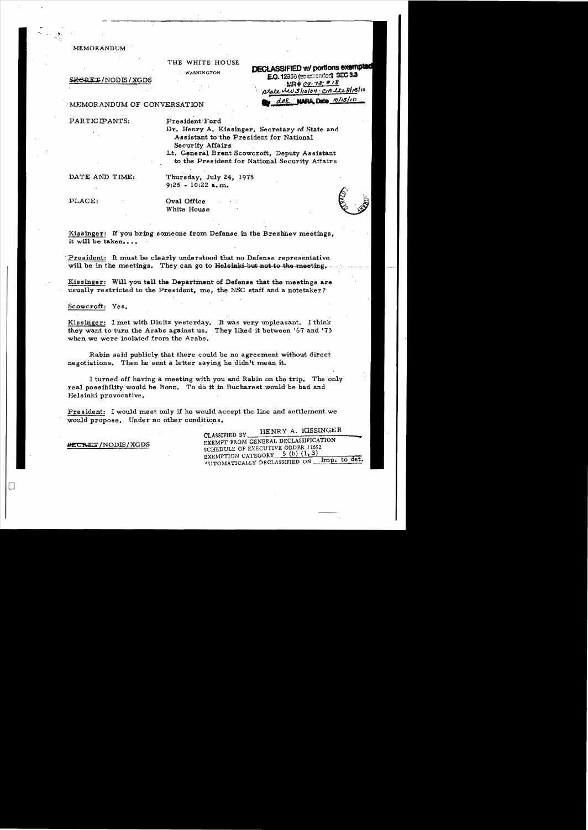#### **MEMORANDUM**

THE WHITE HOUSE

WASHINGTON

SEGRET/NODIS/XGDS

**DECLASSIFIED w/ portions exempted E.O.** 12958 (as amended) SEC 3.3 MR\$ 09-78: #18 pt<u>ate hew 3/10/04 · CIA et u S/18</u>/10 NARA Dete 10/15/10  $dAP$ .

## MEMORANDUM OF CONVERSATION

PARTIC IPANTS:

President Ford

Dr. Henry A. Kissinger, Secretary of State and Assistant to the President for National Security Affairs

Lt. General Brent Scowcroft, Deputy Assistant to the President for National Security Affairs

DATE AND TIME:

Thursday, July 24, 1975  $9:25 - 10:22$  a, m.

PLACE:

Oval Office White House

Kissinger: If you bring someone from Defense in the Brezhnev meetings, it will be taken....

President: It must be clearly understood that no Defense representative. will be in the meetings. They can go to Helsinki but not to the meeting.

Kissinger: Will you tell the Department of Defense that the meetings are usually restricted to the President, me, the NSC staff and a notetaker?

Scowcroft: Yes.

Kissinger: I met with Dinitz yesterday. It was very unpleasant. I think they want to turn the Arabs against us. They liked it between '67 and '73 when we were isolated from the Arabs.

Rabin said publicly that there could be no agreement without direct negotiations. Then he sent a letter saying he didn't mean it.

I turned off having a meeting with you and Rabin on the trip. The only real possibility would be Bonn. To do it in Bucharest would be bad and Helsinki provocative.

President: I would meet only if he would accept the line and aettlement we would propose. Under no other conditions.

HENRY A. KISSINGER

CLASSIFIED BY EXEMPT FROM GENERAL DECLASSIFICATION SCHEDULE OF EXECUTIVE ORDER 11652 EXEMPTION CATEGORY 5 (b) (1, 3) AUTOMATICALLY DECLASSIFIED ON Imp. to det.

SECRET/NODIS/XGDS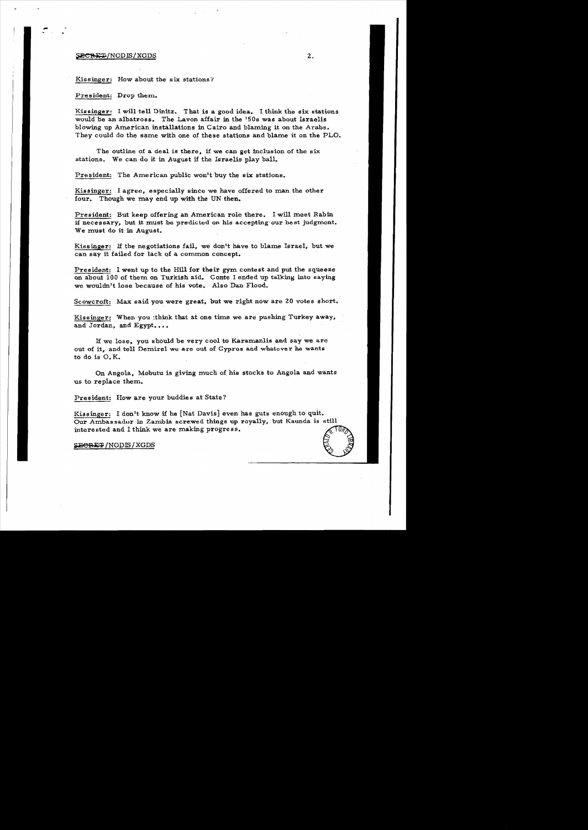#### $\frac{1}{2}$

Kissinger: How about the six stations?

President: Drop them.

Kissinger: I will tell Dinitz. That is a good idea. I think the six stations would be an albatross. The Lavon affair in the '50s was about Israelis blowing up American installations in Cairo and blaming it on the Arabs. They could do the same with one of these stations and blame it on the PLO.

The outline of a deal is there, if we ean get inclusion of the six stations. We can do it in August if the Israelis play ball.

President: The American public won't buy the six stations.

Kissinger: I agree, especially since we have offered to man the other four. Though we may end up with the UN then.

President: But keep offering an American role there. I will meet Rabin if necessary, but it must be predicted on his accepting our best judgment. We must do it in August.

Kissinger: If the negotiations fail, we don't have to blame Israel, but we can say it failed for lack of a common concept.

President: 1 went up to the Hill for their gym contest and put the squeeze on about 100 of them on Turkish aid. Conte. I ended up talking into saying we wouldn't lose because of his vote. Also Dan Flood.

Scowcroft: Max said you were great, but we right now are 20 votes short.

Kisainger: When you ;think that at one time we are pushing Turkey away, and Jordan, and Egypt....

If we lose, you should be very cool to Karamanlis and say we are out of it, and tell Demirel we are out of Cyprus and whatove r he wants to do is O. K.

On Angola, Mobutu is giving much of his stocks to Angola and wants us to replace them.

President: How are your buddies at State?

Kissinger: I don't know if he [Nat Davis] even has guts enough to quit. Our Ambas sador in Zambia screwed things up royally, but Kaunda is still Kissinger: I don't know if he [Nat Davis] even has guts enough to quit.<br>Our Ambassador in Zambia screwed things up royally, but Kaunda is still<br>interested and I think we are making progress.

SECRET/NODIS/XGDS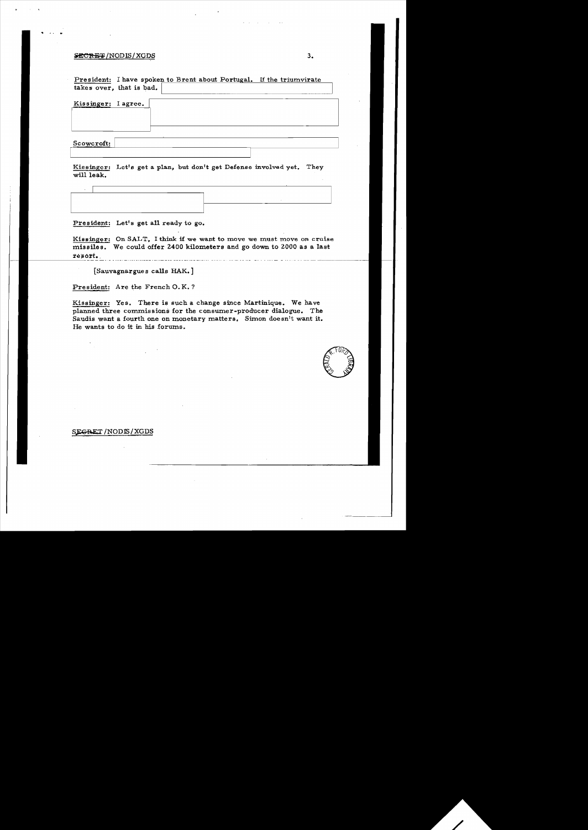### $\frac{1}{2}$   $\frac{1}{2}$  /NODIS/XGDS 3.

President: I have spoken to Brent about Portugal. If the triumvirate takes over, that is bad.

Kissinger: I agree.

Scowcroft:

.. .. .

Kissinger: Let's get a plan, but don't get Defense involved yet. They will leak.

President: Let's get all ready to go.

Kissinger: On SALT, I think if we want to move we must move on cruise missiles. We could offer 2400 kilometers and go down to ZOOO as a last i'e:s 01't•. -------------- - --\_.\_ .. \_-\_.\_------------ -------------\_. ----- -- - ---- -- . - --- - - \_. - - -- ------------------\_.

[Sauvagnargues calls HAK.]

President: Are the French O. K. ?

Kissinger: Yes. There is such a change since Martinique. We have planned three commissions for the consumer-producer dialogue. The Saudis want a fourth one on monetary matters. Simon doesn't want it. He wants to do it in his forums.



## SEGRET / NODIS / XGDS